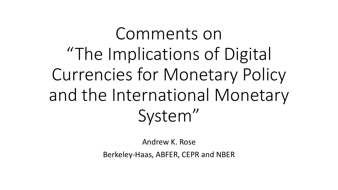Comments on "The Implications of Digital Currencies for Monetary Policy and the International Monetary System"

Andrew K. Rose

Berkeley-Haas, ABFER, CEPR and NBER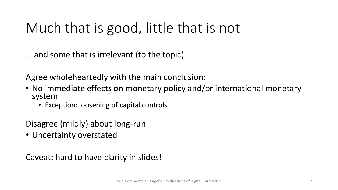### Much that is good, little that is not

… and some that is irrelevant (to the topic)

Agree wholeheartedly with the main conclusion:

- No immediate effects on monetary policy and/or international monetary system
	- Exception: loosening of capital controls

Disagree (mildly) about long-run

• Uncertainty overstated

Caveat: hard to have clarity in slides!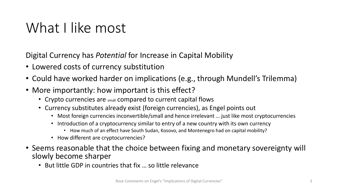### What I like most

Digital Currency has *Potential* for Increase in Capital Mobility

- Lowered costs of currency substitution
- Could have worked harder on implications (e.g., through Mundell's Trilemma)
- More importantly: how important is this effect?
	- Crypto currencies are small compared to current capital flows
	- Currency substitutes already exist (foreign currencies), as Engel points out
		- Most foreign currencies inconvertible/small and hence irrelevant … just like most cryptocurrencies
		- Introduction of a cryptocurrency similar to entry of a new country with its own currency
			- How much of an effect have South Sudan, Kosovo, and Montenegro had on capital mobility?
		- How different are cryptocurrencies?
- Seems reasonable that the choice between fixing and monetary sovereignty will slowly become sharper
	- But little GDP in countries that fix … so little relevance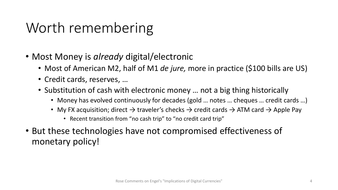### Worth remembering

- Most Money is *already* digital/electronic
	- Most of American M2, half of M1 *de jure,* more in practice (\$100 bills are US)
	- Credit cards, reserves, …
	- Substitution of cash with electronic money … not a big thing historically
		- Money has evolved continuously for decades (gold ... notes ... cheques ... credit cards ...)
		- My FX acquisition; direct  $\rightarrow$  traveler's checks  $\rightarrow$  credit cards  $\rightarrow$  ATM card  $\rightarrow$  Apple Pay
			- Recent transition from "no cash trip" to "no credit card trip"
- But these technologies have not compromised effectiveness of monetary policy!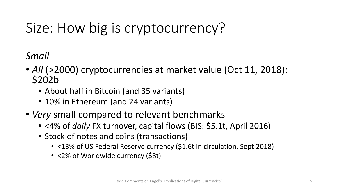# Size: How big is cryptocurrency?

*Small*

- *All* (>2000) cryptocurrencies at market value (Oct 11, 2018): \$202b
	- About half in Bitcoin (and 35 variants)
	- 10% in Ethereum (and 24 variants)
- *Very* small compared to relevant benchmarks
	- <4% of *daily* FX turnover, capital flows (BIS: \$5.1t, April 2016)
	- Stock of notes and coins (transactions)
		- <13% of US Federal Reserve currency (\$1.6t in circulation, Sept 2018)
		- <2% of Worldwide currency (\$8t)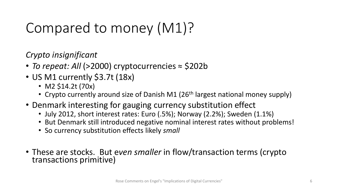## Compared to money (M1)?

*Crypto insignificant*

- *To repeat: All* (>2000) cryptocurrencies ≈ \$202b
- US M1 currently \$3.7t (18x)
	- M2 \$14.2t (70x)
	- Crypto currently around size of Danish M1 (26<sup>th</sup> largest national money supply)
- Denmark interesting for gauging currency substitution effect
	- July 2012, short interest rates: Euro (.5%); Norway (2.2%); Sweden (1.1%)
	- But Denmark still introduced negative nominal interest rates without problems!
	- So currency substitution effects likely *small*
- These are stocks. But e*ven smaller* in flow/transaction terms (crypto transactions primitive)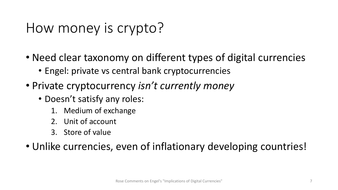### How money is crypto?

- Need clear taxonomy on different types of digital currencies
	- Engel: private vs central bank cryptocurrencies
- Private cryptocurrency *isn't currently money*
	- Doesn't satisfy any roles:
		- 1. Medium of exchange
		- 2. Unit of account
		- 3. Store of value

• Unlike currencies, even of inflationary developing countries!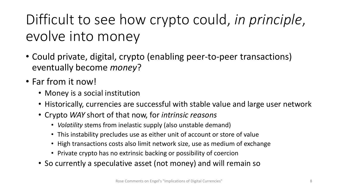Difficult to see how crypto could, *in principle*, evolve into money

- Could private, digital, crypto (enabling peer-to-peer transactions) eventually become *money*?
- Far from it now!
	- Money is a social institution
	- Historically, currencies are successful with stable value and large user network
	- Crypto *WAY* short of that now, for *intrinsic reasons*
		- *Volatility* stems from inelastic supply (also unstable demand)
		- This instability precludes use as either unit of account or store of value
		- High transactions costs also limit network size, use as medium of exchange
		- Private crypto has no extrinsic backing or possibility of coercion
	- So currently a speculative asset (not money) and will remain so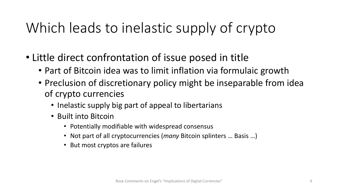## Which leads to inelastic supply of crypto

- Little direct confrontation of issue posed in title
	- Part of Bitcoin idea was to limit inflation via formulaic growth
	- Preclusion of discretionary policy might be inseparable from idea of crypto currencies
		- Inelastic supply big part of appeal to libertarians
		- Built into Bitcoin
			- Potentially modifiable with widespread consensus
			- Not part of all cryptocurrencies (*many* Bitcoin splinters … Basis …)
			- But most cryptos are failures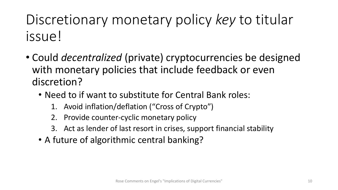## Discretionary monetary policy *key* to titular issue!

- Could *decentralized* (private) cryptocurrencies be designed with monetary policies that include feedback or even discretion?
	- Need to if want to substitute for Central Bank roles:
		- 1. Avoid inflation/deflation ("Cross of Crypto")
		- 2. Provide counter-cyclic monetary policy
		- 3. Act as lender of last resort in crises, support financial stability
	- A future of algorithmic central banking?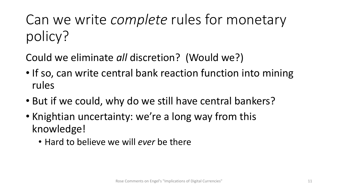Can we write *complete* rules for monetary policy?

Could we eliminate *all* discretion? (Would we?)

- If so, can write central bank reaction function into mining rules
- But if we could, why do we still have central bankers?
- Knightian uncertainty: we're a long way from this knowledge!
	- Hard to believe we will *ever* be there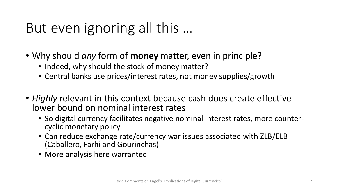## But even ignoring all this …

- Why should *any* form of **money** matter, even in principle?
	- Indeed, why should the stock of money matter?
	- Central banks use prices/interest rates, not money supplies/growth
- *Highly* relevant in this context because cash does create effective lower bound on nominal interest rates
	- So digital currency facilitates negative nominal interest rates, more counter- cyclic monetary policy
	- Can reduce exchange rate/currency war issues associated with ZLB/ELB (Caballero, Farhi and Gourinchas)
	- More analysis here warranted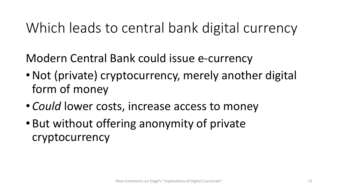### Which leads to central bank digital currency

Modern Central Bank could issue e-currency

- Not (private) cryptocurrency, merely another digital form of money
- *Could* lower costs, increase access to money
- But without offering anonymity of private cryptocurrency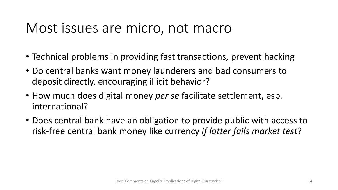#### Most issues are micro, not macro

- Technical problems in providing fast transactions, prevent hacking
- Do central banks want money launderers and bad consumers to deposit directly, encouraging illicit behavior?
- How much does digital money *per se* facilitate settlement, esp. international?
- Does central bank have an obligation to provide public with access to risk-free central bank money like currency *if latter fails market test*?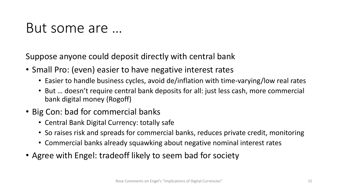#### But some are …

Suppose anyone could deposit directly with central bank

- Small Pro: (even) easier to have negative interest rates
	- Easier to handle business cycles, avoid de/inflation with time-varying/low real rates
	- But … doesn't require central bank deposits for all: just less cash, more commercial bank digital money (Rogoff)
- Big Con: bad for commercial banks
	- Central Bank Digital Currency: totally safe
	- So raises risk and spreads for commercial banks, reduces private credit, monitoring
	- Commercial banks already squawking about negative nominal interest rates
- Agree with Engel: tradeoff likely to seem bad for society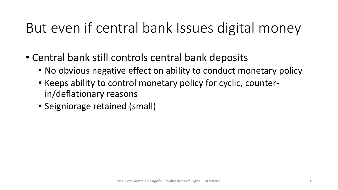## But even if central bank Issues digital money

- Central bank still controls central bank deposits
	- No obvious negative effect on ability to conduct monetary policy
	- Keeps ability to control monetary policy for cyclic, counterin/deflationary reasons
	- Seigniorage retained (small)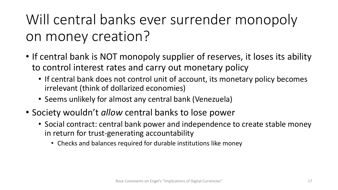Will central banks ever surrender monopoly on money creation?

- If central bank is NOT monopoly supplier of reserves, it loses its ability to control interest rates and carry out monetary policy
	- If central bank does not control unit of account, its monetary policy becomes irrelevant (think of dollarized economies)
	- Seems unlikely for almost any central bank (Venezuela)
- Society wouldn't *allow* central banks to lose power
	- Social contract: central bank power and independence to create stable money in return for trust-generating accountability
		- Checks and balances required for durable institutions like money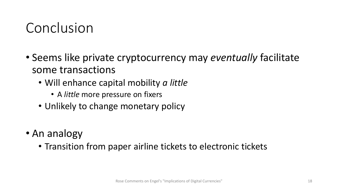#### Conclusion

- Seems like private cryptocurrency may *eventually* facilitate some transactions
	- Will enhance capital mobility *a little*
		- A *little* more pressure on fixers
	- Unlikely to change monetary policy
- An analogy
	- Transition from paper airline tickets to electronic tickets